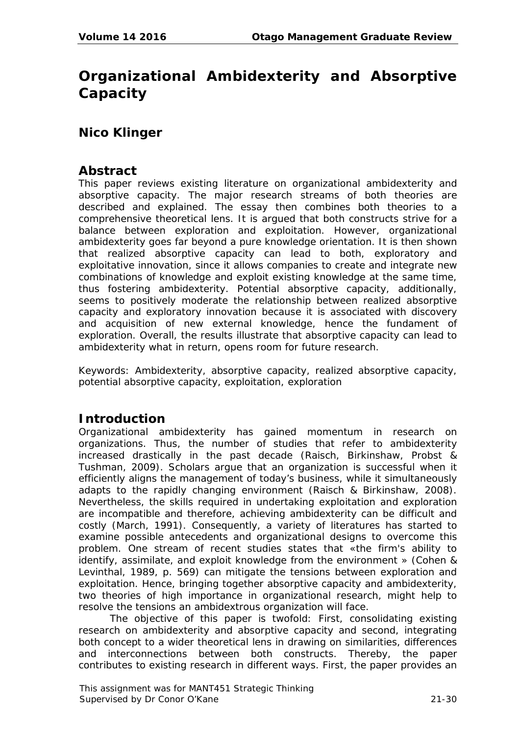# **Organizational Ambidexterity and Absorptive Capacity**

## **Nico Klinger**

### **Abstract**

This paper reviews existing literature on organizational ambidexterity and absorptive capacity. The major research streams of both theories are described and explained. The essay then combines both theories to a comprehensive theoretical lens. It is argued that both constructs strive for a balance between exploration and exploitation. However, organizational ambidexterity goes far beyond a pure knowledge orientation. It is then shown that realized absorptive capacity can lead to both, exploratory and exploitative innovation, since it allows companies to create and integrate new combinations of knowledge and exploit existing knowledge at the same time, thus fostering ambidexterity. Potential absorptive capacity, additionally, seems to positively moderate the relationship between realized absorptive capacity and exploratory innovation because it is associated with discovery and acquisition of new external knowledge, hence the fundament of exploration. Overall, the results illustrate that absorptive capacity can lead to ambidexterity what in return, opens room for future research.

*Keywords:* Ambidexterity, absorptive capacity, realized absorptive capacity, potential absorptive capacity, exploitation, exploration

## **Introduction**

Organizational ambidexterity has gained momentum in research on organizations. Thus, the number of studies that refer to ambidexterity increased drastically in the past decade (Raisch, Birkinshaw, Probst & Tushman, 2009). Scholars argue that an organization is successful when it efficiently aligns the management of today's business, while it simultaneously adapts to the rapidly changing environment (Raisch & Birkinshaw, 2008). Nevertheless, the skills required in undertaking exploitation and exploration are incompatible and therefore, achieving ambidexterity can be difficult and costly (March, 1991). Consequently, a variety of literatures has started to examine possible antecedents and organizational designs to overcome this problem. One stream of recent studies states that «the firm's ability to identify, assimilate, and exploit knowledge from the environment » (Cohen & Levinthal, 1989, p. 569) can mitigate the tensions between exploration and exploitation. Hence, bringing together absorptive capacity and ambidexterity, two theories of high importance in organizational research, might help to resolve the tensions an ambidextrous organization will face.

The objective of this paper is twofold: First, consolidating existing research on ambidexterity and absorptive capacity and second, integrating both concept to a wider theoretical lens in drawing on similarities, differences and interconnections between both constructs. Thereby, the paper contributes to existing research in different ways. First, the paper provides an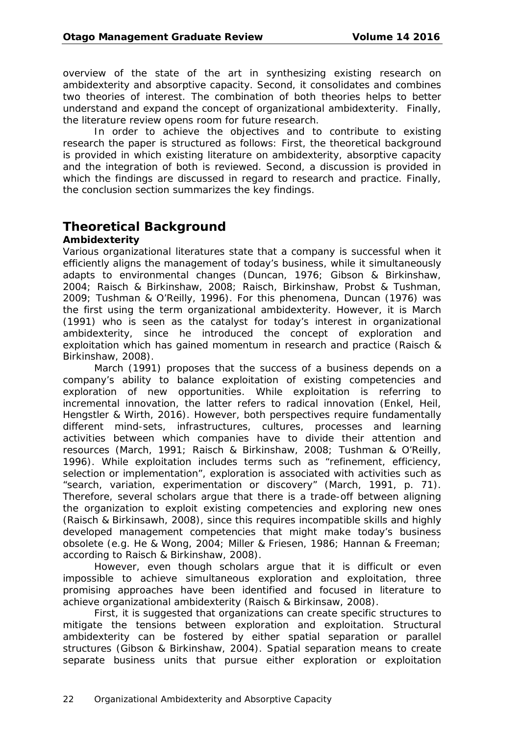overview of the state of the art in synthesizing existing research on ambidexterity and absorptive capacity. Second, it consolidates and combines two theories of interest. The combination of both theories helps to better understand and expand the concept of organizational ambidexterity. Finally, the literature review opens room for future research.

In order to achieve the objectives and to contribute to existing research the paper is structured as follows: First, the theoretical background is provided in which existing literature on ambidexterity, absorptive capacity and the integration of both is reviewed. Second, a discussion is provided in which the findings are discussed in regard to research and practice. Finally, the conclusion section summarizes the key findings.

# **Theoretical Background**

#### **Ambidexterity**

Various organizational literatures state that a company is successful when it efficiently aligns the management of today's business, while it simultaneously adapts to environmental changes (Duncan, 1976; Gibson & Birkinshaw, 2004; Raisch & Birkinshaw, 2008; Raisch, Birkinshaw, Probst & Tushman, 2009; Tushman & O'Reilly, 1996). For this phenomena, Duncan (1976) was the first using the term organizational ambidexterity. However, it is March (1991) who is seen as the catalyst for today's interest in organizational ambidexterity, since he introduced the concept of exploration and exploitation which has gained momentum in research and practice (Raisch & Birkinshaw, 2008).

March (1991) proposes that the success of a business depends on a company's ability to balance exploitation of existing competencies and exploration of new opportunities. While exploitation is referring to incremental innovation, the latter refers to radical innovation (Enkel, Heil, Hengstler & Wirth, 2016). However, both perspectives require fundamentally different mind-sets, infrastructures, cultures, processes and learning activities between which companies have to divide their attention and resources (March, 1991; Raisch & Birkinshaw, 2008; Tushman & O'Reilly, 1996). While exploitation includes terms such as "refinement, efficiency, selection or implementation", exploration is associated with activities such as "search, variation, experimentation or discovery" (March, 1991, p. 71). Therefore, several scholars argue that there is a trade-off between aligning the organization to exploit existing competencies and exploring new ones (Raisch & Birkinsawh, 2008), since this requires incompatible skills and highly developed management competencies that might make today's business obsolete (e.g. He & Wong, 2004; Miller & Friesen, 1986; Hannan & Freeman; according to Raisch & Birkinshaw, 2008).

However, even though scholars argue that it is difficult or even impossible to achieve simultaneous exploration and exploitation, three promising approaches have been identified and focused in literature to achieve organizational ambidexterity (Raisch & Birkinsaw, 2008).

First, it is suggested that organizations can create specific structures to mitigate the tensions between exploration and exploitation. Structural ambidexterity can be fostered by either spatial separation or parallel structures (Gibson & Birkinshaw, 2004). Spatial separation means to create separate business units that pursue either exploration or exploitation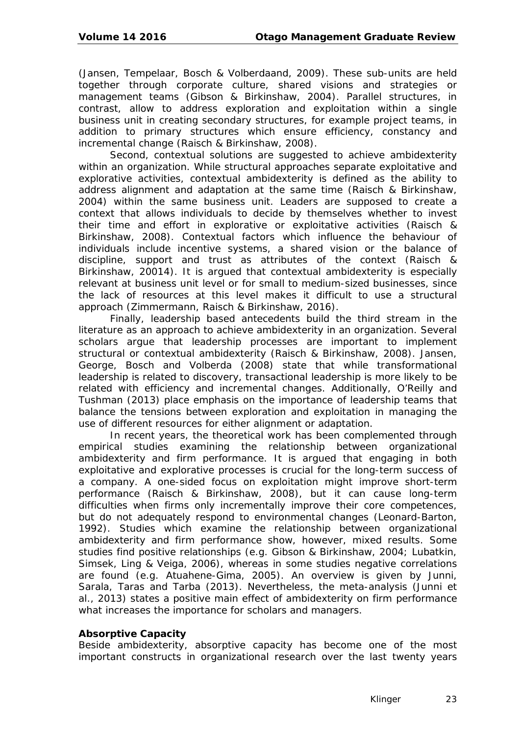(Jansen, Tempelaar, Bosch & Volberdaand, 2009). These sub-units are held together through corporate culture, shared visions and strategies or management teams (Gibson & Birkinshaw, 2004). Parallel structures, in contrast, allow to address exploration and exploitation within a single business unit in creating secondary structures, for example project teams, in addition to primary structures which ensure efficiency, constancy and incremental change (Raisch & Birkinshaw, 2008).

Second, contextual solutions are suggested to achieve ambidexterity within an organization. While structural approaches separate exploitative and explorative activities, contextual ambidexterity is defined as the ability to address alignment and adaptation at the same time (Raisch & Birkinshaw, 2004) within the same business unit. Leaders are supposed to create a context that allows individuals to decide by themselves whether to invest their time and effort in explorative or exploitative activities (Raisch & Birkinshaw, 2008). Contextual factors which influence the behaviour of individuals include incentive systems, a shared vision or the balance of discipline, support and trust as attributes of the context (Raisch & Birkinshaw, 20014). It is argued that contextual ambidexterity is especially relevant at business unit level or for small to medium-sized businesses, since the lack of resources at this level makes it difficult to use a structural approach (Zimmermann, Raisch & Birkinshaw, 2016).

Finally, leadership based antecedents build the third stream in the literature as an approach to achieve ambidexterity in an organization. Several scholars argue that leadership processes are important to implement structural or contextual ambidexterity (Raisch & Birkinshaw, 2008). Jansen, George, Bosch and Volberda (2008) state that while transformational leadership is related to discovery, transactional leadership is more likely to be related with efficiency and incremental changes. Additionally, O'Reilly and Tushman (2013) place emphasis on the importance of leadership teams that balance the tensions between exploration and exploitation in managing the use of different resources for either alignment or adaptation.

In recent years, the theoretical work has been complemented through empirical studies examining the relationship between organizational ambidexterity and firm performance. It is argued that engaging in both exploitative and explorative processes is crucial for the long-term success of a company. A one-sided focus on exploitation might improve short-term performance (Raisch & Birkinshaw, 2008), but it can cause long-term difficulties when firms only incrementally improve their core competences, but do not adequately respond to environmental changes (Leonard-Barton, 1992). Studies which examine the relationship between organizational ambidexterity and firm performance show, however, mixed results. Some studies find positive relationships (e.g. Gibson & Birkinshaw, 2004; Lubatkin, Simsek, Ling & Veiga, 2006), whereas in some studies negative correlations are found (e.g. Atuahene-Gima, 2005). An overview is given by Junni, Sarala, Taras and Tarba (2013). Nevertheless, the meta-analysis (Junni et al., 2013) states a positive main effect of ambidexterity on firm performance what increases the importance for scholars and managers.

#### **Absorptive Capacity**

Beside ambidexterity, absorptive capacity has become one of the most important constructs in organizational research over the last twenty years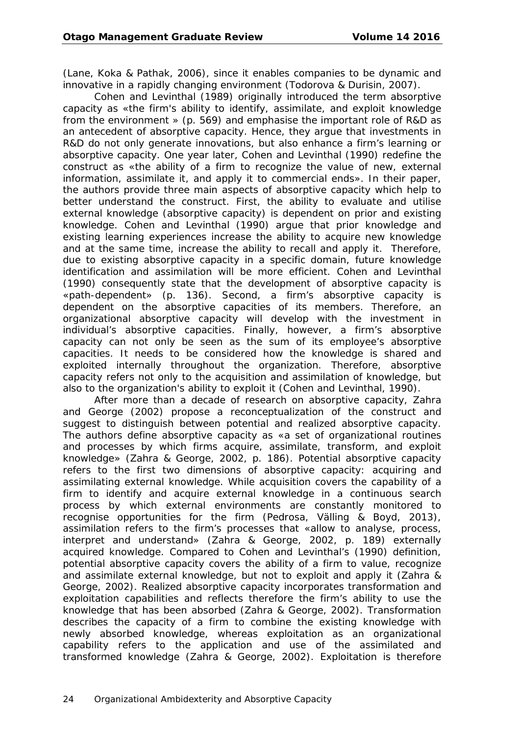(Lane, Koka & Pathak, 2006), since it enables companies to be dynamic and innovative in a rapidly changing environment (Todorova & Durisin, 2007).

Cohen and Levinthal (1989) originally introduced the term absorptive capacity as «the firm's ability to identify, assimilate, and exploit knowledge from the environment » (p. 569) and emphasise the important role of R&D as an antecedent of absorptive capacity. Hence, they argue that investments in R&D do not only generate innovations, but also enhance a firm's learning or absorptive capacity. One year later, Cohen and Levinthal (1990) redefine the construct as «the ability of a firm to recognize the value of new, external information, assimilate it, and apply it to commercial ends». In their paper, the authors provide three main aspects of absorptive capacity which help to better understand the construct. First, the ability to evaluate and utilise external knowledge (absorptive capacity) is dependent on prior and existing knowledge. Cohen and Levinthal (1990) argue that prior knowledge and existing learning experiences increase the ability to acquire new knowledge and at the same time, increase the ability to recall and apply it. Therefore, due to existing absorptive capacity in a specific domain, future knowledge identification and assimilation will be more efficient. Cohen and Levinthal (1990) consequently state that the development of absorptive capacity is «path-dependent» (p. 136). Second, a firm's absorptive capacity is dependent on the absorptive capacities of its members. Therefore, an organizational absorptive capacity will develop with the investment in individual's absorptive capacities. Finally, however, a firm's absorptive capacity can not only be seen as the sum of its employee's absorptive capacities. It needs to be considered how the knowledge is shared and exploited internally throughout the organization. Therefore, absorptive capacity refers not only to the acquisition and assimilation of knowledge, but also to the organization's ability to exploit it (Cohen and Levinthal, 1990).

After more than a decade of research on absorptive capacity, Zahra and George (2002) propose a reconceptualization of the construct and suggest to distinguish between potential and realized absorptive capacity. The authors define absorptive capacity as «a set of organizational routines and processes by which firms acquire, assimilate, transform, and exploit knowledge» (Zahra & George, 2002, p. 186). Potential absorptive capacity refers to the first two dimensions of absorptive capacity: acquiring and assimilating external knowledge. While acquisition covers the capability of a firm to identify and acquire external knowledge in a continuous search process by which external environments are constantly monitored to recognise opportunities for the firm (Pedrosa, Välling & Boyd, 2013), assimilation refers to the firm's processes that «allow to analyse, process, interpret and understand» (Zahra & George, 2002, p. 189) externally acquired knowledge. Compared to Cohen and Levinthal's (1990) definition, potential absorptive capacity covers the ability of a firm to value, recognize and assimilate external knowledge, but not to exploit and apply it (Zahra & George, 2002). Realized absorptive capacity incorporates transformation and exploitation capabilities and reflects therefore the firm's ability to use the knowledge that has been absorbed (Zahra & George, 2002). Transformation describes the capacity of a firm to combine the existing knowledge with newly absorbed knowledge, whereas exploitation as an organizational capability refers to the application and use of the assimilated and transformed knowledge (Zahra & George, 2002). Exploitation is therefore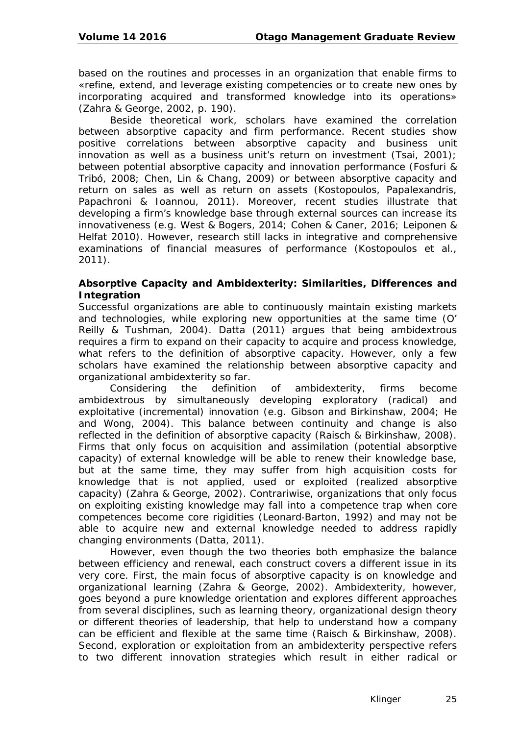based on the routines and processes in an organization that enable firms to «refine, extend, and leverage existing competencies or to create new ones by incorporating acquired and transformed knowledge into its operations» (Zahra & George, 2002, p. 190).

Beside theoretical work, scholars have examined the correlation between absorptive capacity and firm performance. Recent studies show positive correlations between absorptive capacity and business unit innovation as well as a business unit's return on investment (Tsai, 2001); between potential absorptive capacity and innovation performance (Fosfuri & Tribó, 2008; Chen, Lin & Chang, 2009) or between absorptive capacity and return on sales as well as return on assets (Kostopoulos, Papalexandris, Papachroni & Ioannou, 2011). Moreover, recent studies illustrate that developing a firm's knowledge base through external sources can increase its innovativeness (e.g. West & Bogers, 2014; Cohen & Caner, 2016; Leiponen & Helfat 2010). However, research still lacks in integrative and comprehensive examinations of financial measures of performance (Kostopoulos et al., 2011).

#### **Absorptive Capacity and Ambidexterity: Similarities, Differences and Integration**

Successful organizations are able to continuously maintain existing markets and technologies, while exploring new opportunities at the same time (O' Reilly & Tushman, 2004). Datta (2011) argues that being ambidextrous requires a firm to expand on their capacity to acquire and process knowledge, what refers to the definition of absorptive capacity. However, only a few scholars have examined the relationship between absorptive capacity and organizational ambidexterity so far.

Considering the definition of ambidexterity, firms become ambidextrous by simultaneously developing exploratory (radical) and exploitative (incremental) innovation (e.g. Gibson and Birkinshaw, 2004; He and Wong, 2004). This balance between continuity and change is also reflected in the definition of absorptive capacity (Raisch & Birkinshaw, 2008). Firms that only focus on acquisition and assimilation (potential absorptive capacity) of external knowledge will be able to renew their knowledge base, but at the same time, they may suffer from high acquisition costs for knowledge that is not applied, used or exploited (realized absorptive capacity) (Zahra & George, 2002). Contrariwise, organizations that only focus on exploiting existing knowledge may fall into a competence trap when core competences become core rigidities (Leonard‐Barton, 1992) and may not be able to acquire new and external knowledge needed to address rapidly changing environments (Datta, 2011).

However, even though the two theories both emphasize the balance between efficiency and renewal, each construct covers a different issue in its very core. First, the main focus of absorptive capacity is on knowledge and organizational learning (Zahra & George, 2002). Ambidexterity, however, goes beyond a pure knowledge orientation and explores different approaches from several disciplines, such as learning theory, organizational design theory or different theories of leadership, that help to understand how a company can be efficient and flexible at the same time (Raisch & Birkinshaw, 2008). Second, exploration or exploitation from an ambidexterity perspective refers to two different innovation strategies which result in either radical or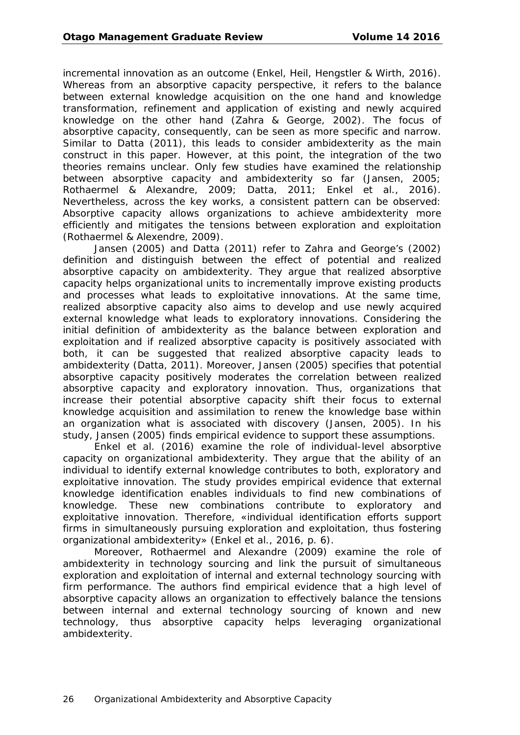incremental innovation as an outcome (Enkel, Heil, Hengstler & Wirth, 2016). Whereas from an absorptive capacity perspective, it refers to the balance between external knowledge acquisition on the one hand and knowledge transformation, refinement and application of existing and newly acquired knowledge on the other hand (Zahra & George, 2002). The focus of absorptive capacity, consequently, can be seen as more specific and narrow. Similar to Datta (2011), this leads to consider ambidexterity as the main construct in this paper. However, at this point, the integration of the two theories remains unclear. Only few studies have examined the relationship between absorptive capacity and ambidexterity so far (Jansen, 2005; Rothaermel & Alexandre, 2009; Datta, 2011; Enkel et al., 2016). Nevertheless, across the key works, a consistent pattern can be observed: Absorptive capacity allows organizations to achieve ambidexterity more efficiently and mitigates the tensions between exploration and exploitation (Rothaermel & Alexendre, 2009).

Jansen (2005) and Datta (2011) refer to Zahra and George's (2002) definition and distinguish between the effect of potential and realized absorptive capacity on ambidexterity. They argue that realized absorptive capacity helps organizational units to incrementally improve existing products and processes what leads to exploitative innovations. At the same time, realized absorptive capacity also aims to develop and use newly acquired external knowledge what leads to exploratory innovations. Considering the initial definition of ambidexterity as the balance between exploration and exploitation and if realized absorptive capacity is positively associated with both, it can be suggested that realized absorptive capacity leads to ambidexterity (Datta, 2011). Moreover, Jansen (2005) specifies that potential absorptive capacity positively moderates the correlation between realized absorptive capacity and exploratory innovation. Thus, organizations that increase their potential absorptive capacity shift their focus to external knowledge acquisition and assimilation to renew the knowledge base within an organization what is associated with discovery (Jansen, 2005). In his study, Jansen (2005) finds empirical evidence to support these assumptions.

Enkel et al. (2016) examine the role of individual-level absorptive capacity on organizational ambidexterity. They argue that the ability of an individual to identify external knowledge contributes to both, exploratory and exploitative innovation. The study provides empirical evidence that external knowledge identification enables individuals to find new combinations of knowledge. These new combinations contribute to exploratory and exploitative innovation. Therefore, «individual identification efforts support firms in simultaneously pursuing exploration and exploitation, thus fostering organizational ambidexterity» (Enkel et al., 2016, p. 6).

Moreover, Rothaermel and Alexandre (2009) examine the role of ambidexterity in technology sourcing and link the pursuit of simultaneous exploration and exploitation of internal and external technology sourcing with firm performance. The authors find empirical evidence that a high level of absorptive capacity allows an organization to effectively balance the tensions between internal and external technology sourcing of known and new technology, thus absorptive capacity helps leveraging organizational ambidexterity.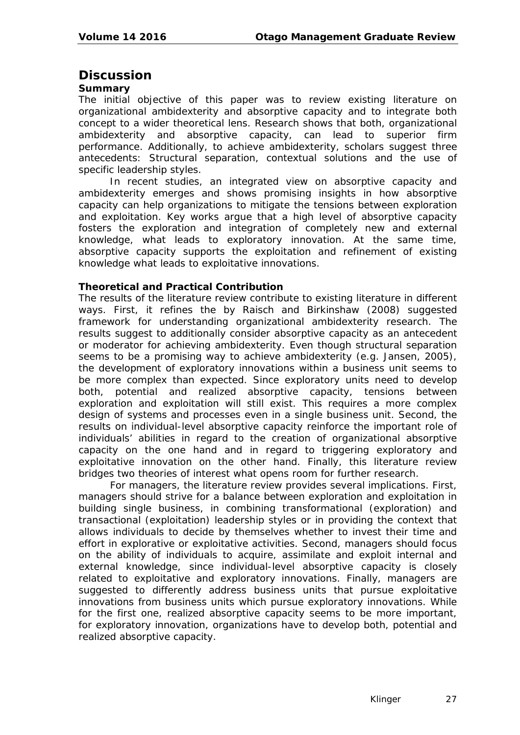### **Discussion**

#### **Summary**

The initial objective of this paper was to review existing literature on organizational ambidexterity and absorptive capacity and to integrate both concept to a wider theoretical lens. Research shows that both, organizational ambidexterity and absorptive capacity, can lead to superior firm performance. Additionally, to achieve ambidexterity, scholars suggest three antecedents: Structural separation, contextual solutions and the use of specific leadership styles.

In recent studies, an integrated view on absorptive capacity and ambidexterity emerges and shows promising insights in how absorptive capacity can help organizations to mitigate the tensions between exploration and exploitation. Key works argue that a high level of absorptive capacity fosters the exploration and integration of completely new and external knowledge, what leads to exploratory innovation. At the same time, absorptive capacity supports the exploitation and refinement of existing knowledge what leads to exploitative innovations.

#### **Theoretical and Practical Contribution**

The results of the literature review contribute to existing literature in different ways. First, it refines the by Raisch and Birkinshaw (2008) suggested framework for understanding organizational ambidexterity research. The results suggest to additionally consider absorptive capacity as an antecedent or moderator for achieving ambidexterity. Even though structural separation seems to be a promising way to achieve ambidexterity (e.g. Jansen, 2005), the development of exploratory innovations within a business unit seems to be more complex than expected. Since exploratory units need to develop both, potential and realized absorptive capacity, tensions between exploration and exploitation will still exist. This requires a more complex design of systems and processes even in a single business unit. Second, the results on individual-level absorptive capacity reinforce the important role of individuals' abilities in regard to the creation of organizational absorptive capacity on the one hand and in regard to triggering exploratory and exploitative innovation on the other hand. Finally, this literature review bridges two theories of interest what opens room for further research.

For managers, the literature review provides several implications. First, managers should strive for a balance between exploration and exploitation in building single business, in combining transformational (exploration) and transactional (exploitation) leadership styles or in providing the context that allows individuals to decide by themselves whether to invest their time and effort in explorative or exploitative activities. Second, managers should focus on the ability of individuals to acquire, assimilate and exploit internal and external knowledge, since individual-level absorptive capacity is closely related to exploitative and exploratory innovations. Finally, managers are suggested to differently address business units that pursue exploitative innovations from business units which pursue exploratory innovations. While for the first one, realized absorptive capacity seems to be more important, for exploratory innovation, organizations have to develop both, potential and realized absorptive capacity.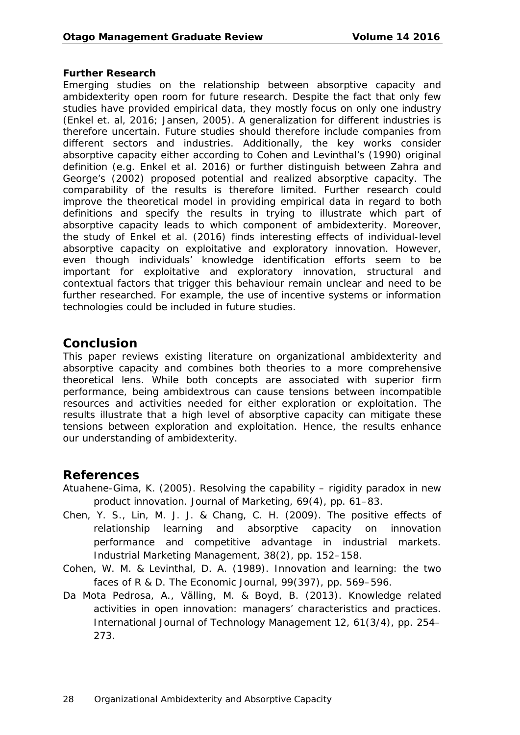#### **Further Research**

Emerging studies on the relationship between absorptive capacity and ambidexterity open room for future research. Despite the fact that only few studies have provided empirical data, they mostly focus on only one industry (Enkel et. al, 2016; Jansen, 2005). A generalization for different industries is therefore uncertain. Future studies should therefore include companies from different sectors and industries. Additionally, the key works consider absorptive capacity either according to Cohen and Levinthal's (1990) original definition (e.g. Enkel et al. 2016) or further distinguish between Zahra and George's (2002) proposed potential and realized absorptive capacity. The comparability of the results is therefore limited. Further research could improve the theoretical model in providing empirical data in regard to both definitions and specify the results in trying to illustrate which part of absorptive capacity leads to which component of ambidexterity. Moreover, the study of Enkel et al. (2016) finds interesting effects of individual-level absorptive capacity on exploitative and exploratory innovation. However, even though individuals' knowledge identification efforts seem to be important for exploitative and exploratory innovation, structural and contextual factors that trigger this behaviour remain unclear and need to be further researched. For example, the use of incentive systems or information technologies could be included in future studies.

### **Conclusion**

This paper reviews existing literature on organizational ambidexterity and absorptive capacity and combines both theories to a more comprehensive theoretical lens. While both concepts are associated with superior firm performance, being ambidextrous can cause tensions between incompatible resources and activities needed for either exploration or exploitation. The results illustrate that a high level of absorptive capacity can mitigate these tensions between exploration and exploitation. Hence, the results enhance our understanding of ambidexterity.

#### **References**

- Atuahene-Gima, K. (2005). Resolving the capability rigidity paradox in new product innovation. *Journal of Marketing*, *69*(4), pp. 61–83.
- Chen, Y. S., Lin, M. J. J. & Chang, C. H. (2009). The positive effects of relationship learning and absorptive capacity on innovation performance and competitive advantage in industrial markets. *Industrial Marketing Management*, *38*(2), pp. 152–158.
- Cohen, W. M. & Levinthal, D. A. (1989). Innovation and learning: the two faces of R & D. *The Economic Journal*, *99*(397), pp. 569–596.
- Da Mota Pedrosa, A., Välling, M. & Boyd, B. (2013). Knowledge related activities in open innovation: managers' characteristics and practices. *International Journal of Technology Management 12*, *61*(3/4), pp. 254– 273.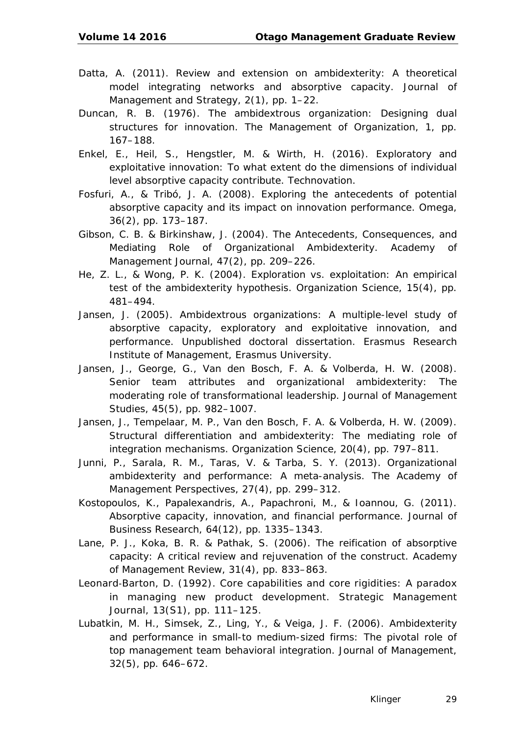- Datta, A. (2011). Review and extension on ambidexterity: A theoretical model integrating networks and absorptive capacity. *Journal of Management and Strategy*, *2*(1), pp. 1–22.
- Duncan, R. B. (1976). The ambidextrous organization: Designing dual structures for innovation. *The Management of Organization*, *1*, pp. 167–188.
- Enkel, E., Heil, S., Hengstler, M. & Wirth, H. (2016). Exploratory and exploitative innovation: To what extent do the dimensions of individual level absorptive capacity contribute. *Technovation*.
- Fosfuri, A., & Tribó, J. A. (2008). Exploring the antecedents of potential absorptive capacity and its impact on innovation performance. *Omega*, *36*(2), pp. 173–187.
- Gibson, C. B. & Birkinshaw, J. (2004). The Antecedents, Consequences, and Mediating Role of Organizational Ambidexterity. *Academy of Management Journal*, *47*(2), pp. 209–226.
- He, Z. L., & Wong, P. K. (2004). Exploration vs. exploitation: An empirical test of the ambidexterity hypothesis. *Organization Science*, *15*(4), pp. 481–494.
- Jansen, J. (2005). *Ambidextrous organizations: A multiple-level study of absorptive capacity, exploratory and exploitative innovation, and performance.* Unpublished doctoral dissertation. Erasmus Research Institute of Management, Erasmus University.
- Jansen, J., George, G., Van den Bosch, F. A. & Volberda, H. W. (2008). Senior team attributes and organizational ambidexterity: The moderating role of transformational leadership. *Journal of Management Studies*, *45*(5), pp. 982–1007.
- Jansen, J., Tempelaar, M. P., Van den Bosch, F. A. & Volberda, H. W. (2009). Structural differentiation and ambidexterity: The mediating role of integration mechanisms. *Organization Science*, *20*(4), pp. 797–811.
- Junni, P., Sarala, R. M., Taras, V. & Tarba, S. Y. (2013). Organizational ambidexterity and performance: A meta-analysis. *The Academy of Management Perspectives*, *27*(4), pp. 299–312.
- Kostopoulos, K., Papalexandris, A., Papachroni, M., & Ioannou, G. (2011). Absorptive capacity, innovation, and financial performance. *Journal of Business Research*, *64*(12), pp. 1335–1343.
- Lane, P. J., Koka, B. R. & Pathak, S. (2006). The reification of absorptive capacity: A critical review and rejuvenation of the construct. *Academy of Management Review*, *31*(4), pp. 833–863.
- Leonard‐Barton, D. (1992). Core capabilities and core rigidities: A paradox in managing new product development. *Strategic Management Journal*, *13*(S1), pp. 111–125.
- Lubatkin, M. H., Simsek, Z., Ling, Y., & Veiga, J. F. (2006). Ambidexterity and performance in small-to medium-sized firms: The pivotal role of top management team behavioral integration. *Journal of Management*, *32*(5), pp. 646–672.